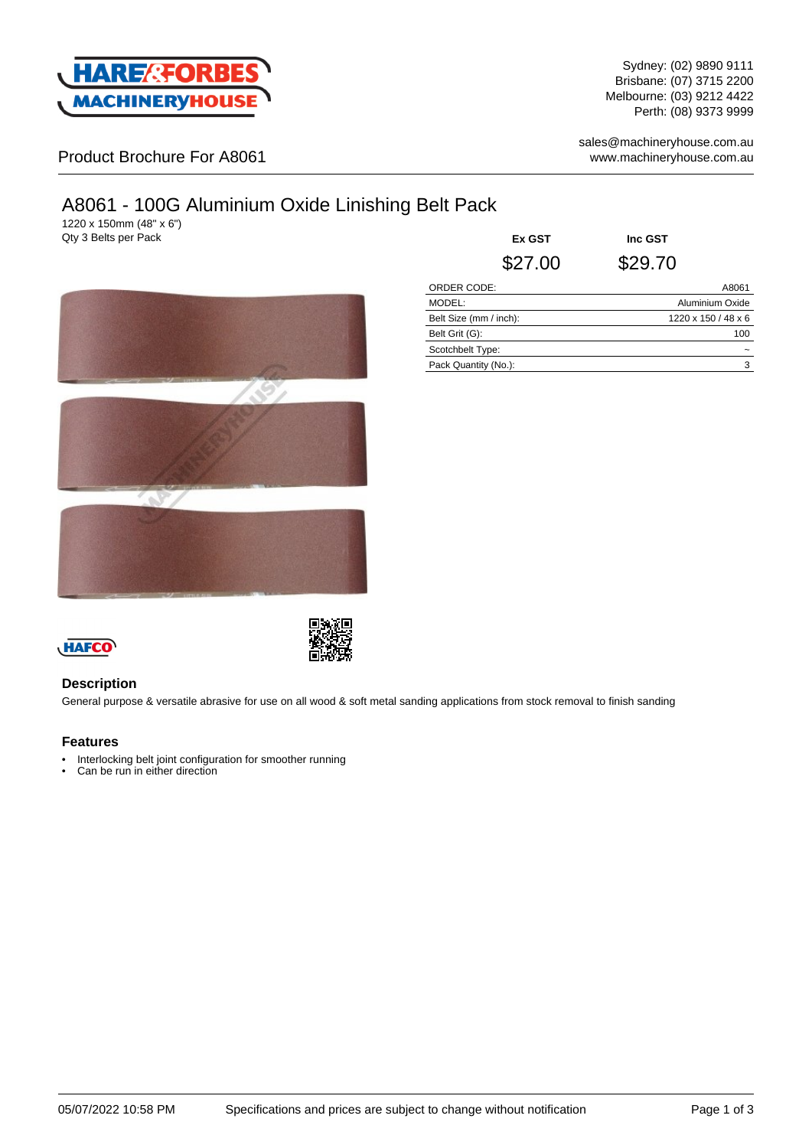

Sydney: (02) 9890 9111 Brisbane: (07) 3715 2200 Melbourne: (03) 9212 4422 Perth: (08) 9373 9999

Product Brochure For A8061

sales@machineryhouse.com.au www.machineryhouse.com.au

# A8061 - 100G Aluminium Oxide Linishing Belt Pack

1220 x 150mm (48" x 6")

Qty 3 Belts per Pack **Ex GST Inc GST** \$27.00 \$29.70



| ORDER CODE:            | A8061               |
|------------------------|---------------------|
| MODEL:                 | Aluminium Oxide     |
| Belt Size (mm / inch): | 1220 x 150 / 48 x 6 |
| Belt Grit (G):         | 100                 |
| Scotchbelt Type:       | -                   |
| Pack Quantity (No.):   | 3                   |
|                        |                     |



## **Description**

General purpose & versatile abrasive for use on all wood & soft metal sanding applications from stock removal to finish sanding

## **Features**

- Interlocking belt joint configuration for smoother running
- Can be run in either direction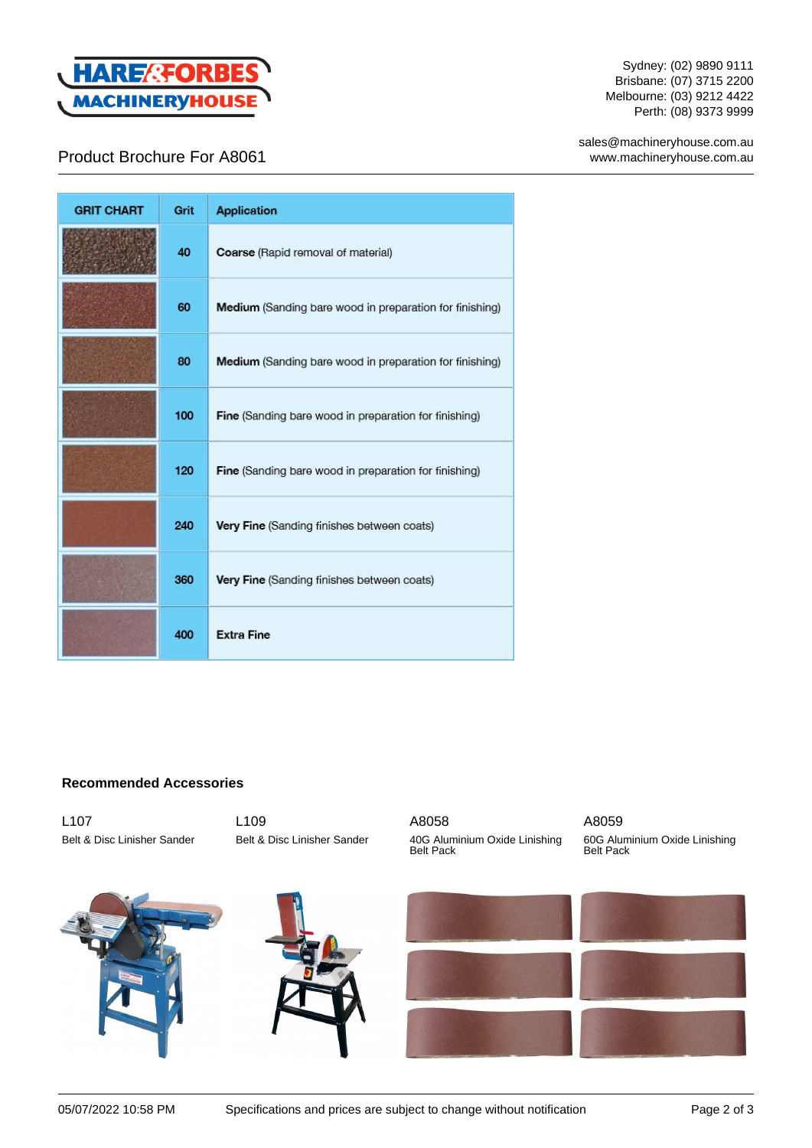

Sydney: (02) 9890 9111 Brisbane: (07) 3715 2200 Melbourne: (03) 9212 4422 Perth: (08) 9373 9999

sales@machineryhouse.com.au www.machineryhouse.com.au

# Product Brochure For A8061

| <b>GRIT CHART</b> | Grit | <b>Application</b>                                             |
|-------------------|------|----------------------------------------------------------------|
|                   | 40   | Coarse (Rapid removal of material)                             |
|                   | 60   | <b>Medium</b> (Sanding bare wood in preparation for finishing) |
|                   | 80   | Medium (Sanding bare wood in preparation for finishing)        |
|                   | 100  | Fine (Sanding bare wood in preparation for finishing)          |
|                   | 120  | Fine (Sanding bare wood in preparation for finishing)          |
|                   | 240  | Very Fine (Sanding finishes between coats)                     |
|                   | 360  | Very Fine (Sanding finishes between coats)                     |
|                   | 400  | <b>Extra Fine</b>                                              |

# **Recommended Accessories**

L107 Belt & Disc Linisher Sander L109 Belt & Disc Linisher Sander





A8058 40G Aluminium Oxide Linishing Belt Pack

## A8059

60G Aluminium Oxide Linishing Belt Pack